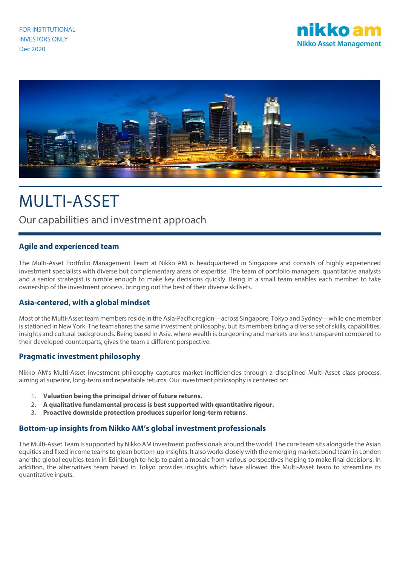



# MULTI-ASSET

# Our capabilities and investment approach

# **Agile and experienced team**

The Multi-Asset Portfolio Management Team at Nikko AM is headquartered in Singapore and consists of highly experienced investment specialists with diverse but complementary areas of expertise. The team of portfolio managers, quantitative analysts and a senior strategist is nimble enough to make key decisions quickly. Being in a small team enables each member to take ownership of the investment process, bringing out the best of their diverse skillsets.

## **Asia-centered, with a global mindset**

Most of the Multi-Asset team members reside in the Asia-Pacific region—across Singapore, Tokyo and Sydney—while one member is stationed in New York. The team shares the same investment philosophy, but its members bring a diverse set of skills, capabilities, insights and cultural backgrounds. Being based in Asia, where wealth is burgeoning and markets are less transparent compared to their developed counterparts, gives the team a different perspective.

## **Pragmatic investment philosophy**

Nikko AM's Multi-Asset investment philosophy captures market inefficiencies through a disciplined Multi-Asset class process, aiming at superior, long-term and repeatable returns. Our investment philosophy is centered on:

- 1. **Valuation being the principal driver of future returns.**
- 2. **A qualitative fundamental process is best supported with quantitative rigour.**
- 3. **Proactive downside protection produces superior long-term returns**.

## **Bottom-up insights from Nikko AM's global investment professionals**

The Multi-Asset Team is supported by Nikko AM investment professionals around the world. The core team sits alongside the Asian equities and fixed income teams to glean bottom-up insights. It also works closely with the emerging markets bond team in London and the global equities team in Edinburgh to help to paint a mosaic from various perspectives helping to make final decisions. In addition, the alternatives team based in Tokyo provides insights which have allowed the Multi-Asset team to streamline its quantitative inputs.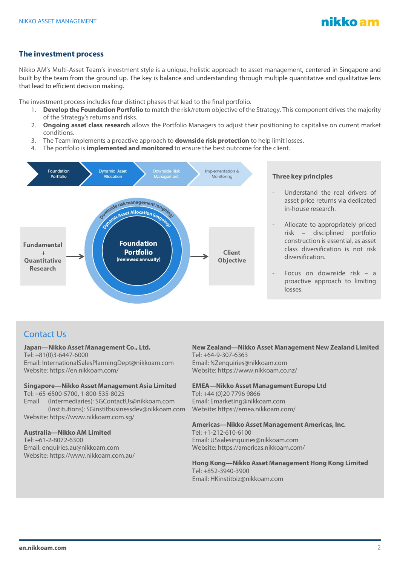

# **The investment process**

Nikko AM's Multi-Asset Team's investment style is a unique, holistic approach to asset management, centered in Singapore and built by the team from the ground up. The key is balance and understanding through multiple quantitative and qualitative lens that lead to efficient decision making.

The investment process includes four distinct phases that lead to the final portfolio.

- 1. **Develop the Foundation Portfolio** to match the risk/return objective of the Strategy. This component drives the majority of the Strategy's returns and risks.
- 2. **Ongoing asset class research** allows the Portfolio Managers to adjust their positioning to capitalise on current market conditions.
- 3. The Team implements a proactive approach to **downside risk protection** to help limit losses.
- 4. The portfolio is **implemented and monitored** to ensure the best outcome for the client.



# Contact Us

#### **Japan—Nikko Asset Management Co., Ltd.**

Tel: +81(0)3-6447-6000 Email: InternationalSalesPlanningDept@nikkoam.com Website: https://en.nikkoam.com/

#### **Singapore—Nikko Asset Management Asia Limited**

Tel: +65-6500-5700, 1-800-535-8025

Email (Intermediaries): SGContactUs@nikkoam.com (Institutions): SGinstitbusinessdev@nikkoam.com Website: https://www.nikkoam.com.sg/

#### **Australia—Nikko AM Limited**

Tel: +61-2-8072-6300 Email: enquiries.au@nikkoam.com Website: https://www.nikkoam.com.au/

### **New Zealand—Nikko Asset Management New Zealand Limited** Tel: +64-9-307-6363

Email: NZenquiries@nikkoam.com Website: https://www.nikkoam.co.nz/

#### **EMEA—Nikko Asset Management Europe Ltd**

Tel: +44 (0)20 7796 9866 Email: Emarketing@nikkoam.com Website: https://emea.nikkoam.com/

#### **Americas—Nikko Asset Management Americas, Inc.**

Tel: +1-212-610-6100 Email: USsalesinquiries@nikkoam.com Website: https://americas.nikkoam.com/

**Hong Kong—Nikko Asset Management Hong Kong Limited** Tel: +852-3940-3900 Email: HKinstitbiz@nikkoam.com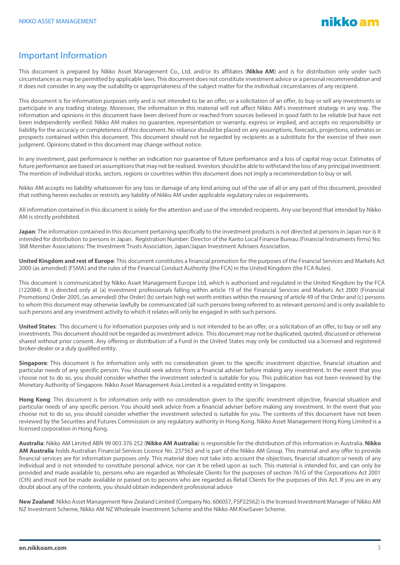# Important Information

This document is prepared by Nikko Asset Management Co., Ltd. and/or its affiliates (**Nikko AM**) and is for distribution only under such circumstances as may be permitted by applicable laws. This document does not constitute investment advice or a personal recommendation and it does not consider in any way the suitability or appropriateness of the subject matter for the individual circumstances of any recipient.

This document is for information purposes only and is not intended to be an offer, or a solicitation of an offer, to buy or sell any investments or participate in any trading strategy. Moreover, the information in this material will not affect Nikko AM's investment strategy in any way. The information and opinions in this document have been derived from or reached from sources believed in good faith to be reliable but have not been independently verified. Nikko AM makes no guarantee, representation or warranty, express or implied, and accepts no responsibility or liability for the accuracy or completeness of this document. No reliance should be placed on any assumptions, forecasts, projections, estimates or prospects contained within this document. This document should not be regarded by recipients as a substitute for the exercise of their own judgment. Opinions stated in this document may change without notice.

In any investment, past performance is neither an indication nor guarantee of future performance and a loss of capital may occur. Estimates of future performance are based on assumptions that may not be realised. Investors should be able to withstand the loss of any principal investment. The mention of individual stocks, sectors, regions or countries within this document does not imply a recommendation to buy or sell.

Nikko AM accepts no liability whatsoever for any loss or damage of any kind arising out of the use of all or any part of this document, provided that nothing herein excludes or restricts any liability of Nikko AM under applicable regulatory rules or requirements.

All information contained in this document is solely for the attention and use of the intended recipients. Any use beyond that intended by Nikko AM is strictly prohibited.

**Japan**: The information contained in this document pertaining specifically to the investment products is not directed at persons in Japan nor is it intended for distribution to persons in Japan. Registration Number: Director of the Kanto Local Finance Bureau (Financial Instruments firms) No. 368 Member Associations: The Investment Trusts Association, Japan/Japan Investment Advisers Association.

**United Kingdom and rest of Europe**: This document constitutes a financial promotion for the purposes of the Financial Services and Markets Act 2000 (as amended) (FSMA) and the rules of the Financial Conduct Authority (the FCA) in the United Kingdom (the FCA Rules).

This document is communicated by Nikko Asset Management Europe Ltd, which is authorised and regulated in the United Kingdom by the FCA (122084). It is directed only at (a) investment professionals falling within article 19 of the Financial Services and Markets Act 2000 (Financial Promotions) Order 2005, (as amended) (the Order) (b) certain high net worth entities within the meaning of article 49 of the Order and (c) persons to whom this document may otherwise lawfully be communicated (all such persons being referred to as relevant persons) and is only available to such persons and any investment activity to which it relates will only be engaged in with such persons.

**United States**: This document is for information purposes only and is not intended to be an offer, or a solicitation of an offer, to buy or sell any investments. This document should not be regarded as investment advice. This document may not be duplicated, quoted, discussed or otherwise shared without prior consent. Any offering or distribution of a Fund in the United States may only be conducted via a licensed and registered broker-dealer or a duly qualified entity.

**Singapore**: This document is for information only with no consideration given to the specific investment objective, financial situation and particular needs of any specific person. You should seek advice from a financial adviser before making any investment. In the event that you choose not to do so, you should consider whether the investment selected is suitable for you. This publication has not been reviewed by the Monetary Authority of Singapore. Nikko Asset Management Asia Limited is a regulated entity in Singapore.

**Hong Kong**: This document is for information only with no consideration given to the specific investment objective, financial situation and particular needs of any specific person. You should seek advice from a financial adviser before making any investment. In the event that you choose not to do so, you should consider whether the investment selected is suitable for you. The contents of this document have not been reviewed by the Securities and Futures Commission or any regulatory authority in Hong Kong. Nikko Asset Management Hong Kong Limited is a licensed corporation in Hong Kong.

**Australia**: Nikko AM Limited ABN 99 003 376 252 (**Nikko AM Australia**) is responsible for the distribution of this information in Australia. **Nikko AM Australia** holds Australian Financial Services Licence No. 237563 and is part of the Nikko AM Group. This material and any offer to provide financial services are for information purposes only. This material does not take into account the objectives, financial situation or needs of any individual and is not intended to constitute personal advice, nor can it be relied upon as such. This material is intended for, and can only be provided and made available to, persons who are regarded as Wholesale Clients for the purposes of section 761G of the Corporations Act 2001 (Cth) and must not be made available or passed on to persons who are regarded as Retail Clients for the purposes of this Act. If you are in any doubt about any of the contents, you should obtain independent professional advice

**New Zealand**: Nikko Asset Management New Zealand Limited (Company No. 606057, FSP22562) is the licensed Investment Manager of Nikko AM NZ Investment Scheme, Nikko AM NZ Wholesale Investment Scheme and the Nikko AM KiwiSaver Scheme.